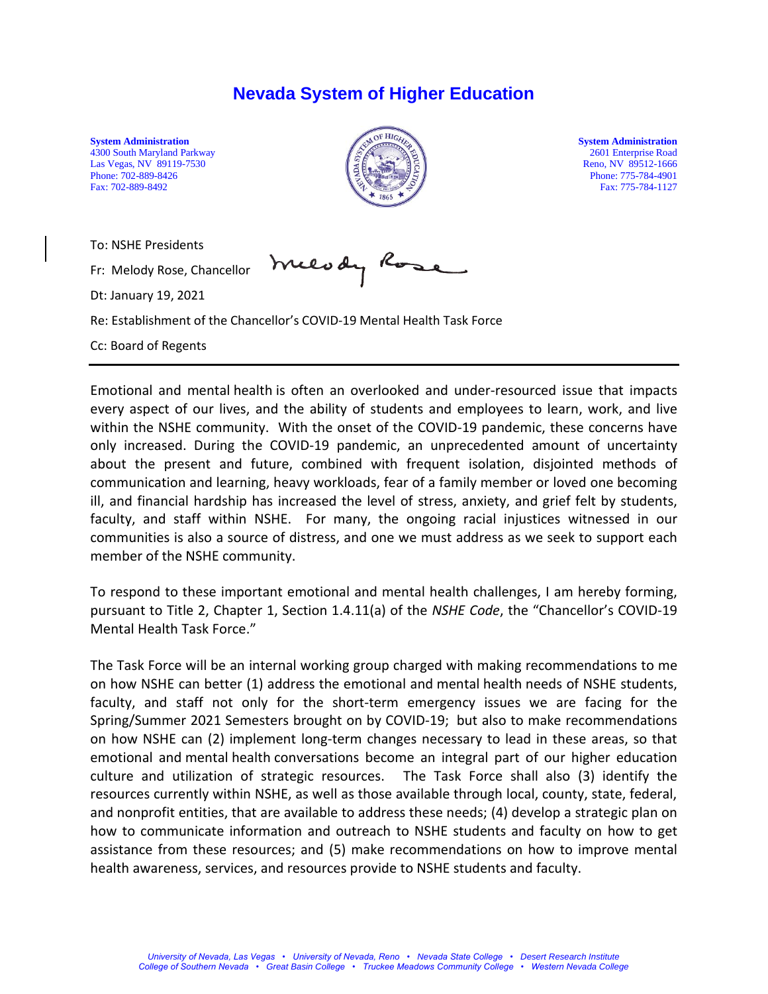## **Nevada System of Higher Education**

4300 South Maryland Parkway 2601 Enterprise Road<br>Las Vegas, NV 89119-7530 2001 Enterprise Road Las Vegas, NV 89119-7530<br>Phone: 702-889-8426 Fax: 702-889-8492 Fax: 775-784-1127



Phone: 775-784-4901

To: NSHE Presidents

Fr: Melody Rose, Chancellor

Dt: January 19, 2021

meerdy

Re: Establishment of the Chancellor's COVID-19 Mental Health Task Force

Cc: Board of Regents

Emotional and mental health is often an overlooked and under-resourced issue that impacts every aspect of our lives, and the ability of students and employees to learn, work, and live within the NSHE community. With the onset of the COVID-19 pandemic, these concerns have only increased. During the COVID-19 pandemic, an unprecedented amount of uncertainty about the present and future, combined with frequent isolation, disjointed methods of communication and learning, heavy workloads, fear of a family member or loved one becoming ill, and financial hardship has increased the level of stress, anxiety, and grief felt by students, faculty, and staff within NSHE. For many, the ongoing racial injustices witnessed in our communities is also a source of distress, and one we must address as we seek to support each member of the NSHE community.

To respond to these important emotional and mental health challenges, I am hereby forming, pursuant to Title 2, Chapter 1, Section 1.4.11(a) of the *NSHE Code*, the "Chancellor's COVID-19 Mental Health Task Force."

The Task Force will be an internal working group charged with making recommendations to me on how NSHE can better (1) address the emotional and mental health needs of NSHE students, faculty, and staff not only for the short-term emergency issues we are facing for the Spring/Summer 2021 Semesters brought on by COVID-19; but also to make recommendations on how NSHE can (2) implement long-term changes necessary to lead in these areas, so that emotional and mental health conversations become an integral part of our higher education culture and utilization of strategic resources. The Task Force shall also (3) identify the resources currently within NSHE, as well as those available through local, county, state, federal, and nonprofit entities, that are available to address these needs; (4) develop a strategic plan on how to communicate information and outreach to NSHE students and faculty on how to get assistance from these resources; and (5) make recommendations on how to improve mental health awareness, services, and resources provide to NSHE students and faculty.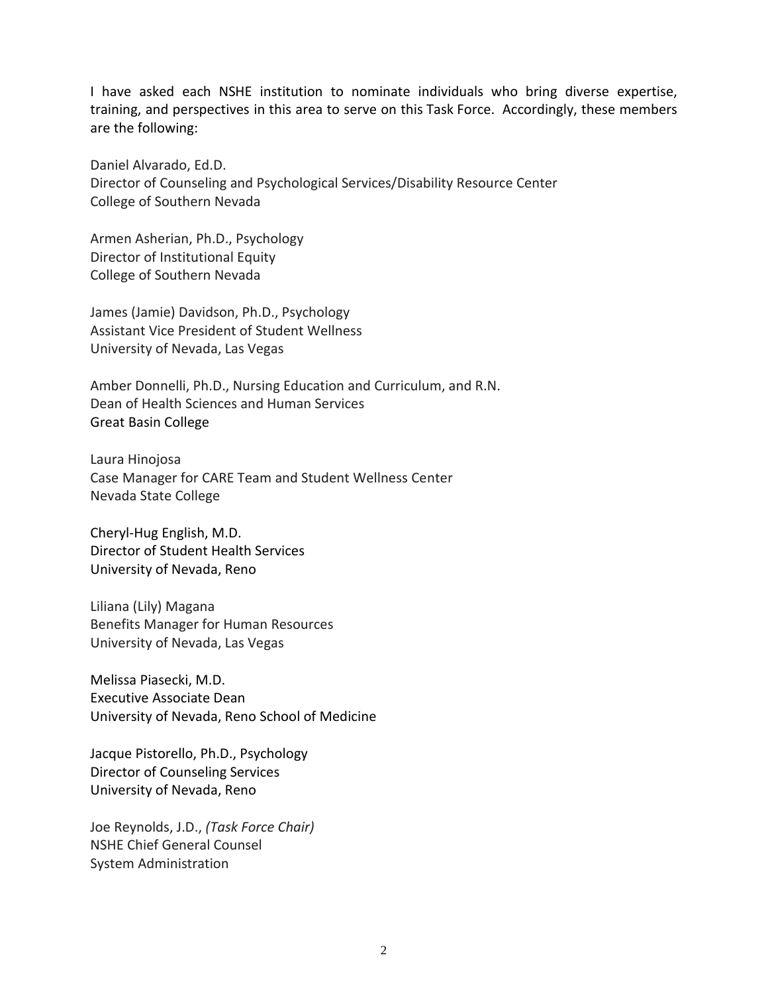I have asked each NSHE institution to nominate individuals who bring diverse expertise, training, and perspectives in this area to serve on this Task Force. Accordingly, these members are the following:

Daniel Alvarado, Ed.D. Director of Counseling and Psychological Services/Disability Resource Center College of Southern Nevada

Armen Asherian, Ph.D., Psychology Director of Institutional Equity College of Southern Nevada

James (Jamie) Davidson, Ph.D., Psychology Assistant Vice President of Student Wellness University of Nevada, Las Vegas

Amber Donnelli, Ph.D., Nursing Education and Curriculum, and R.N. Dean of Health Sciences and Human Services Great Basin College

Laura Hinojosa Case Manager for CARE Team and Student Wellness Center Nevada State College

Cheryl-Hug English, M.D. Director of Student Health Services University of Nevada, Reno

Liliana (Lily) Magana Benefits Manager for Human Resources University of Nevada, Las Vegas

Melissa Piasecki, M.D. Executive Associate Dean University of Nevada, Reno School of Medicine

Jacque Pistorello, Ph.D., Psychology Director of Counseling Services University of Nevada, Reno

Joe Reynolds, J.D., *(Task Force Chair)* NSHE Chief General Counsel System Administration